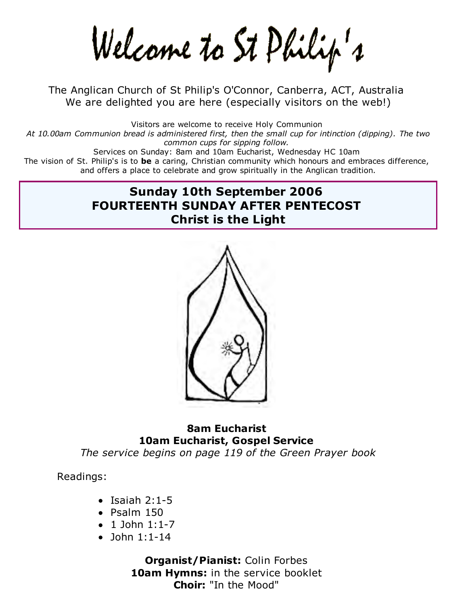Welcame to St Philip's

The Anglican Church of St Philip's O'Connor, Canberra, ACT, Australia We are delighted you are here (especially visitors on the web!)

Visitors are welcome to receive Holy Communion *At 10.00am Communion bread is administered first, then the small cup for intinction (dipping). The two common cups for sipping follow.* Services on Sunday: 8am and 10am Eucharist, Wednesday HC 10am The vision of St. Philip's is to **be** a caring, Christian community which honours and embraces difference, and offers a place to celebrate and grow spiritually in the Anglican tradition.

# **Sunday 10th September 2006 FOURTEENTH SUNDAY AFTER PENTECOST Christ is the Light**



## **8am Eucharist 10am Eucharist, Gospel Service**

*The service begins on page 119 of the Green Prayer book*

Readings:

- $\bullet$  Isaiah 2:1-5
- $\bullet$  Psalm 150
- $\bullet$  1 John 1:1-7
- $\bullet$  John 1:1-14

**Organist/Pianist:** Colin Forbes **10am Hymns:** in the service booklet **Choir:** "In the Mood"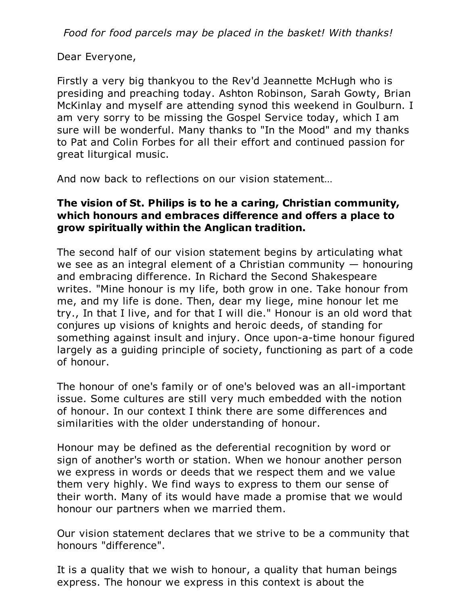*Food for food parcels may be placed in the basket! With thanks!*

Dear Everyone,

Firstly a very big thankyou to the Rev'd Jeannette McHugh who is presiding and preaching today. Ashton Robinson, Sarah Gowty, Brian McKinlay and myself are attending synod this weekend in Goulburn. I am very sorry to be missing the Gospel Service today, which I am sure will be wonderful. Many thanks to "In the Mood" and my thanks to Pat and Colin Forbes for all their effort and continued passion for great liturgical music.

And now back to reflections on our vision statement…

## **The vision of St. Philips is to he a caring, Christian community, which honours and embraces difference and offers a place to grow spiritually within the Anglican tradition.**

The second half of our vision statement begins by articulating what we see as an integral element of a Christian community  $-$  honouring and embracing difference. In Richard the Second Shakespeare writes. "Mine honour is my life, both grow in one. Take honour from me, and my life is done. Then, dear my liege, mine honour let me try., In that I live, and for that I will die." Honour is an old word that conjures up visions of knights and heroic deeds, of standing for something against insult and injury. Once upon-a-time honour figured largely as a guiding principle of society, functioning as part of a code of honour.

The honour of one's family or of one's beloved was an all-important issue. Some cultures are still very much embedded with the notion of honour. In our context I think there are some differences and similarities with the older understanding of honour.

Honour may be defined as the deferential recognition by word or sign of another's worth or station. When we honour another person we express in words or deeds that we respect them and we value them very highly. We find ways to express to them our sense of their worth. Many of its would have made a promise that we would honour our partners when we married them.

Our vision statement declares that we strive to be a community that honours "difference".

It is a quality that we wish to honour, a quality that human beings express. The honour we express in this context is about the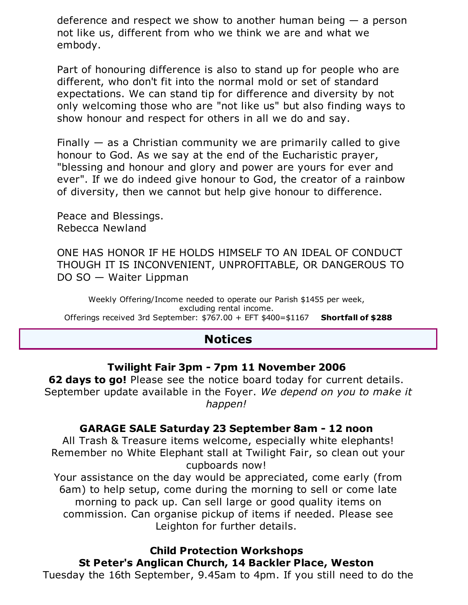deference and respect we show to another human being  $-$  a person not like us, different from who we think we are and what we embody.

Part of honouring difference is also to stand up for people who are different, who don't fit into the normal mold or set of standard expectations. We can stand tip for difference and diversity by not only welcoming those who are "not like us" but also finding ways to show honour and respect for others in all we do and say.

Finally  $-$  as a Christian community we are primarily called to give honour to God. As we say at the end of the Eucharistic prayer, "blessing and honour and glory and power are yours for ever and ever". If we do indeed give honour to God, the creator of a rainbow of diversity, then we cannot but help give honour to difference.

Peace and Blessings. Rebecca Newland

ONE HAS HONOR IF HE HOLDS HIMSELF TO AN IDEAL OF CONDUCT THOUGH IT IS INCONVENIENT, UNPROFITABLE, OR DANGEROUS TO DO SO — Waiter Lippman

Weekly Offering/Income needed to operate our Parish \$1455 per week, excluding rental income. Offerings received 3rd September: \$767.00 + EFT \$400=\$1167 **Shortfall of \$288**

## **Notices**

### **Twilight Fair 3pm - 7pm 11 November 2006**

**62 days to go!** Please see the notice board today for current details. September update available in the Foyer. *We depend on you to make it happen!*

### **GARAGE SALE Saturday 23 September 8am - 12 noon**

All Trash & Treasure items welcome, especially white elephants! Remember no White Elephant stall at Twilight Fair, so clean out your cupboards now!

Your assistance on the day would be appreciated, come early (from 6am) to help setup, come during the morning to sell or come late morning to pack up. Can sell large or good quality items on commission. Can organise pickup of items if needed. Please see Leighton for further details.

**Child Protection Workshops St Peter's Anglican Church, 14 Backler Place, Weston** Tuesday the 16th September, 9.45am to 4pm. If you still need to do the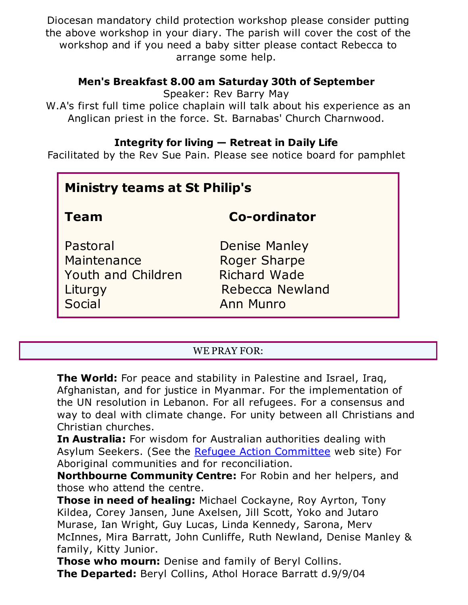Diocesan mandatory child protection workshop please consider putting the above workshop in your diary. The parish will cover the cost of the workshop and if you need a baby sitter please contact Rebecca to arrange some help.

### **Men's Breakfast 8.00 am Saturday 30th of September**

Speaker: Rev Barry May

W.A's first full time police chaplain will talk about his experience as an Anglican priest in the force. St. Barnabas' Church Charnwood.

## **Integrity for living — Retreat in Daily Life**

Facilitated by the Rev Sue Pain. Please see notice board for pamphlet

| <b>Ministry teams at St Philip's</b>                               |                                                                                                    |
|--------------------------------------------------------------------|----------------------------------------------------------------------------------------------------|
| Team                                                               | <b>Co-ordinator</b>                                                                                |
| Pastoral<br>Maintenance<br>Youth and Children<br>Liturgy<br>Social | <b>Denise Manley</b><br><b>Roger Sharpe</b><br><b>Richard Wade</b><br>Rebecca Newland<br>Ann Munro |

### WE PRAY FOR:

**The World:** For peace and stability in Palestine and Israel, Iraq, Afghanistan, and for justice in Myanmar. For the implementation of the UN resolution in Lebanon. For all refugees. For a consensus and way to deal with climate change. For unity between all Christians and Christian churches.

**In Australia:** For wisdom for Australian authorities dealing with Asylum Seekers. (See the Refugee Action Committee web site) For Aboriginal communities and for reconciliation.

**Northbourne Community Centre:** For Robin and her helpers, and those who attend the centre.

**Those in need of healing:** Michael Cockayne, Roy Ayrton, Tony Kildea, Corey Jansen, June Axelsen, Jill Scott, Yoko and Jutaro Murase, Ian Wright, Guy Lucas, Linda Kennedy, Sarona, Merv McInnes, Mira Barratt, John Cunliffe, Ruth Newland, Denise Manley & family, Kitty Junior.

**Those who mourn:** Denise and family of Beryl Collins. **The Departed:** Beryl Collins, Athol Horace Barratt d.9/9/04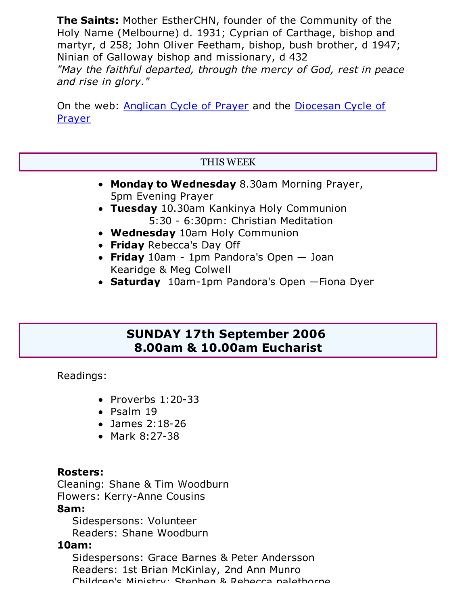**The Saints:** Mother EstherCHN, founder of the Community of the Holy Name (Melbourne) d. 1931; Cyprian of Carthage, bishop and martyr, d 258; John Oliver Feetham, bishop, bush brother, d 1947; Ninian of Galloway bishop and missionary, d 432 *"May the faithful departed, through the mercy of God, rest in peace and rise in glory."*

On the web: Anglican Cycle of Prayer and the Diocesan Cycle of Prayer

### THIS WEEK

- **Monday to Wednesday** 8.30am Morning Prayer, 5pm Evening Prayer
- **Tuesday** 10.30am Kankinya Holy Communion 5:30 - 6:30pm: Christian Meditation
- **Wednesday** 10am Holy Communion
- **Friday** Rebecca's Day Off
- **Friday** 10am 1pm Pandora's Open Joan Kearidge & Meg Colwell
- **Saturday** 10am-1pm Pandora's Open —Fiona Dyer

## **SUNDAY 17th September 2006 8.00am & 10.00am Eucharist**

Readings:

- $\bullet$  Proverbs 1:20-33
- $\bullet$  Psalm 19
- James 2:18-26
- Mark 8:27-38

### **Rosters:**

Cleaning: Shane & Tim Woodburn Flowers: Kerry-Anne Cousins

### **8am:**

 Sidespersons: Volunteer Readers: Shane Woodburn

### **10am:**

 Sidespersons: Grace Barnes & Peter Andersson Readers: 1st Brian McKinlay, 2nd Ann Munro Childran's Ministry: Stanhan & Daharra nalathorna